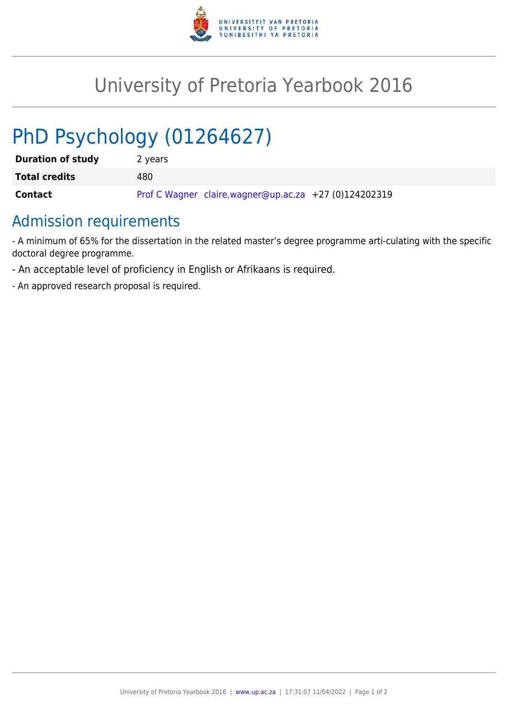

## University of Pretoria Yearbook 2016

# PhD Psychology (01264627)

| <b>Duration of study</b> | 2 years                                               |
|--------------------------|-------------------------------------------------------|
| <b>Total credits</b>     | 480.                                                  |
| Contact                  | Prof C Wagner claire.wagner@up.ac.za +27 (0)124202319 |

## Admission requirements

- A minimum of 65% for the dissertation in the related master's degree programme arti-culating with the specific doctoral degree programme.

- An acceptable level of proficiency in English or Afrikaans is required.
- An approved research proposal is required.